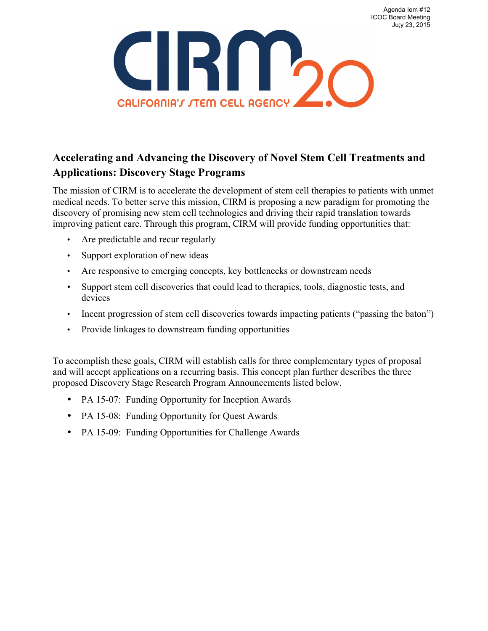Agenda Iem #12 ICOC Board Meeting Ju;y 23, 2015



# **Accelerating and Advancing the Discovery of Novel Stem Cell Treatments and Applications: Discovery Stage Programs**

The mission of CIRM is to accelerate the development of stem cell therapies to patients with unmet medical needs. To better serve this mission, CIRM is proposing a new paradigm for promoting the discovery of promising new stem cell technologies and driving their rapid translation towards improving patient care. Through this program, CIRM will provide funding opportunities that:

- Are predictable and recur regularly
- Support exploration of new ideas
- Are responsive to emerging concepts, key bottlenecks or downstream needs
- Support stem cell discoveries that could lead to therapies, tools, diagnostic tests, and devices
- Incent progression of stem cell discoveries towards impacting patients ("passing the baton")
- Provide linkages to downstream funding opportunities

To accomplish these goals, CIRM will establish calls for three complementary types of proposal and will accept applications on a recurring basis. This concept plan further describes the three proposed Discovery Stage Research Program Announcements listed below.

- PA 15-07: Funding Opportunity for Inception Awards
- PA 15-08: Funding Opportunity for Quest Awards
- PA 15-09: Funding Opportunities for Challenge Awards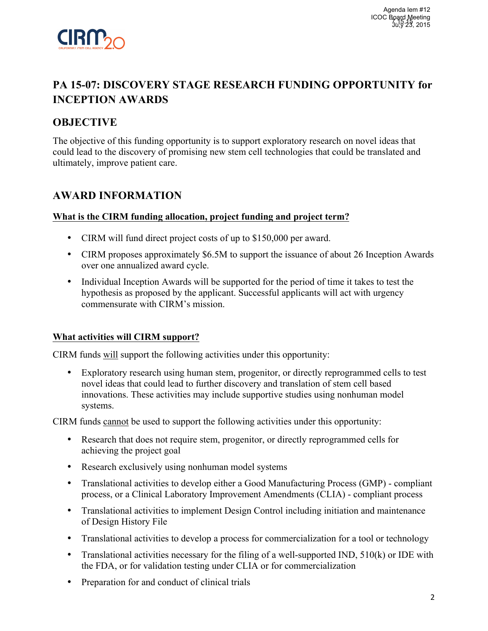

# **PA 15-07: DISCOVERY STAGE RESEARCH FUNDING OPPORTUNITY for INCEPTION AWARDS**

## **OBJECTIVE**

The objective of this funding opportunity is to support exploratory research on novel ideas that could lead to the discovery of promising new stem cell technologies that could be translated and ultimately, improve patient care.

## **AWARD INFORMATION**

### **What is the CIRM funding allocation, project funding and project term?**

- CIRM will fund direct project costs of up to \$150,000 per award.
- CIRM proposes approximately \$6.5M to support the issuance of about 26 Inception Awards over one annualized award cycle.
- Individual Inception Awards will be supported for the period of time it takes to test the hypothesis as proposed by the applicant. Successful applicants will act with urgency commensurate with CIRM's mission.

### **What activities will CIRM support?**

CIRM funds will support the following activities under this opportunity:

• Exploratory research using human stem, progenitor, or directly reprogrammed cells to test novel ideas that could lead to further discovery and translation of stem cell based innovations. These activities may include supportive studies using nonhuman model systems.

CIRM funds cannot be used to support the following activities under this opportunity:

- Research that does not require stem, progenitor, or directly reprogrammed cells for achieving the project goal
- Research exclusively using nonhuman model systems
- Translational activities to develop either a Good Manufacturing Process (GMP) compliant process, or a Clinical Laboratory Improvement Amendments (CLIA) - compliant process
- Translational activities to implement Design Control including initiation and maintenance of Design History File
- Translational activities to develop a process for commercialization for a tool or technology
- Translational activities necessary for the filing of a well-supported IND, 510(k) or IDE with the FDA, or for validation testing under CLIA or for commercialization
- Preparation for and conduct of clinical trials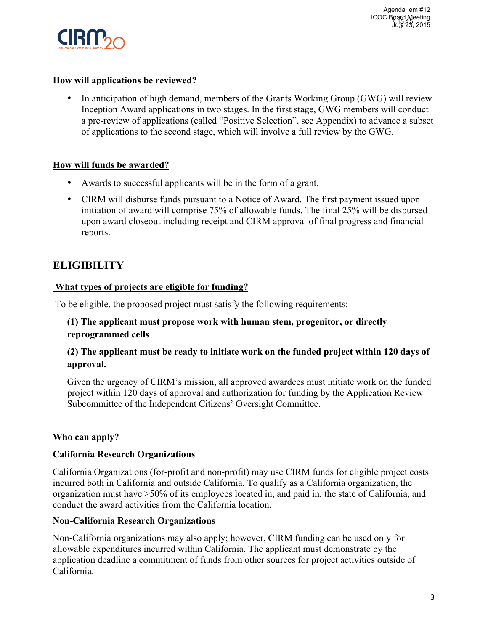

### **How will applications be reviewed?**

• In anticipation of high demand, members of the Grants Working Group (GWG) will review Inception Award applications in two stages. In the first stage, GWG members will conduct a pre-review of applications (called "Positive Selection", see Appendix) to advance a subset of applications to the second stage, which will involve a full review by the GWG.

### **How will funds be awarded?**

- Awards to successful applicants will be in the form of a grant.
- CIRM will disburse funds pursuant to a Notice of Award. The first payment issued upon initiation of award will comprise 75% of allowable funds. The final 25% will be disbursed upon award closeout including receipt and CIRM approval of final progress and financial reports.

# **ELIGIBILITY**

### **What types of projects are eligible for funding?**

To be eligible, the proposed project must satisfy the following requirements:

### **(1) The applicant must propose work with human stem, progenitor, or directly reprogrammed cells**

### **(2) The applicant must be ready to initiate work on the funded project within 120 days of approval.**

Given the urgency of CIRM's mission, all approved awardees must initiate work on the funded project within 120 days of approval and authorization for funding by the Application Review Subcommittee of the Independent Citizens' Oversight Committee.

### **Who can apply?**

### **California Research Organizations**

California Organizations (for-profit and non-profit) may use CIRM funds for eligible project costs incurred both in California and outside California. To qualify as a California organization, the organization must have >50% of its employees located in, and paid in, the state of California, and conduct the award activities from the California location.

### **Non-California Research Organizations**

Non-California organizations may also apply; however, CIRM funding can be used only for allowable expenditures incurred within California. The applicant must demonstrate by the application deadline a commitment of funds from other sources for project activities outside of California.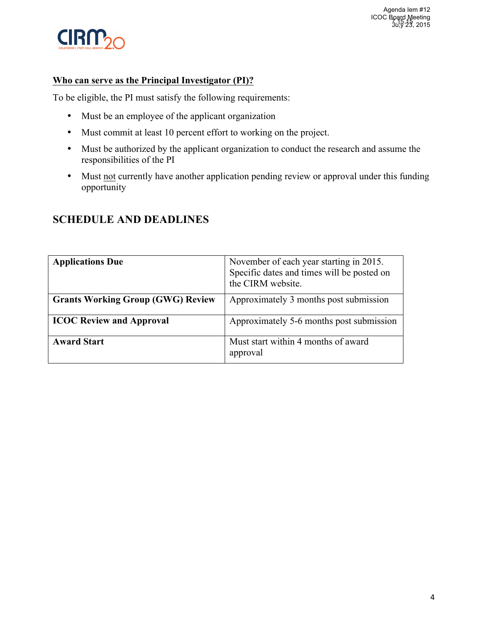

## **Who can serve as the Principal Investigator (PI)?**

To be eligible, the PI must satisfy the following requirements:

- Must be an employee of the applicant organization
- Must commit at least 10 percent effort to working on the project.
- Must be authorized by the applicant organization to conduct the research and assume the responsibilities of the PI
- Must not currently have another application pending review or approval under this funding opportunity

| <b>Applications Due</b>                  | November of each year starting in 2015.<br>Specific dates and times will be posted on<br>the CIRM website. |
|------------------------------------------|------------------------------------------------------------------------------------------------------------|
| <b>Grants Working Group (GWG) Review</b> | Approximately 3 months post submission                                                                     |
| <b>ICOC Review and Approval</b>          | Approximately 5-6 months post submission                                                                   |
| <b>Award Start</b>                       | Must start within 4 months of award<br>approval                                                            |

# **SCHEDULE AND DEADLINES**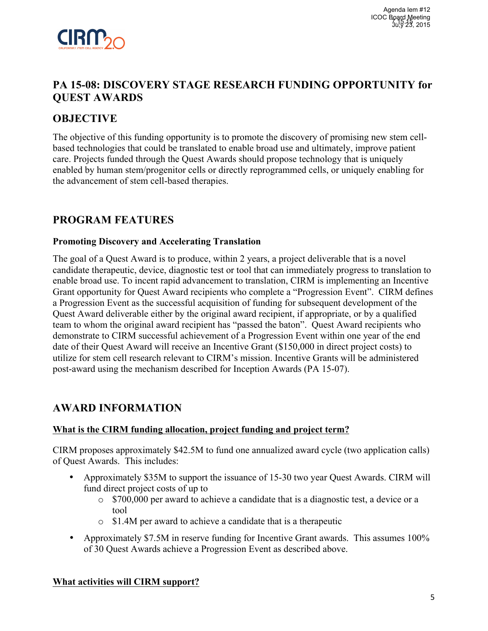

# **PA 15-08: DISCOVERY STAGE RESEARCH FUNDING OPPORTUNITY for QUEST AWARDS**

## **OBJECTIVE**

The objective of this funding opportunity is to promote the discovery of promising new stem cellbased technologies that could be translated to enable broad use and ultimately, improve patient care. Projects funded through the Quest Awards should propose technology that is uniquely enabled by human stem/progenitor cells or directly reprogrammed cells, or uniquely enabling for the advancement of stem cell-based therapies.

## **PROGRAM FEATURES**

#### **Promoting Discovery and Accelerating Translation**

The goal of a Quest Award is to produce, within 2 years, a project deliverable that is a novel candidate therapeutic, device, diagnostic test or tool that can immediately progress to translation to enable broad use. To incent rapid advancement to translation, CIRM is implementing an Incentive Grant opportunity for Quest Award recipients who complete a "Progression Event". CIRM defines a Progression Event as the successful acquisition of funding for subsequent development of the Quest Award deliverable either by the original award recipient, if appropriate, or by a qualified team to whom the original award recipient has "passed the baton". Quest Award recipients who demonstrate to CIRM successful achievement of a Progression Event within one year of the end date of their Quest Award will receive an Incentive Grant (\$150,000 in direct project costs) to utilize for stem cell research relevant to CIRM's mission. Incentive Grants will be administered post-award using the mechanism described for Inception Awards (PA 15-07).

## **AWARD INFORMATION**

### **What is the CIRM funding allocation, project funding and project term?**

CIRM proposes approximately \$42.5M to fund one annualized award cycle (two application calls) of Quest Awards. This includes:

- Approximately \$35M to support the issuance of 15-30 two year Quest Awards. CIRM will fund direct project costs of up to
	- o \$700,000 per award to achieve a candidate that is a diagnostic test, a device or a tool
	- o \$1.4M per award to achieve a candidate that is a therapeutic
- Approximately \$7.5M in reserve funding for Incentive Grant awards. This assumes 100% of 30 Quest Awards achieve a Progression Event as described above.

### **What activities will CIRM support?**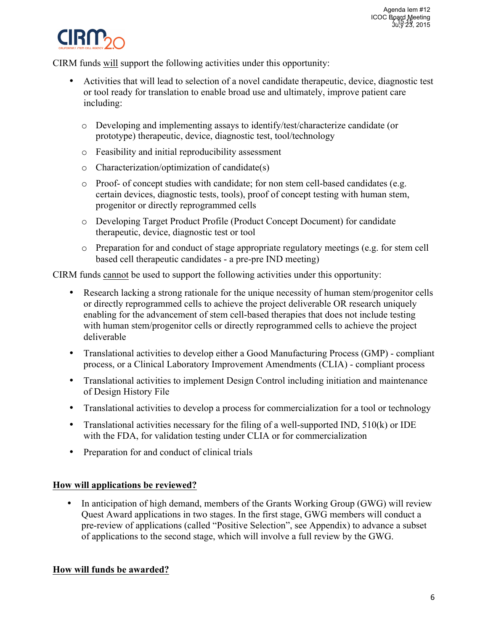

CIRM funds will support the following activities under this opportunity:

- Activities that will lead to selection of a novel candidate therapeutic, device, diagnostic test or tool ready for translation to enable broad use and ultimately, improve patient care including:
	- o Developing and implementing assays to identify/test/characterize candidate (or prototype) therapeutic, device, diagnostic test, tool/technology
	- o Feasibility and initial reproducibility assessment
	- o Characterization/optimization of candidate(s)
	- o Proof- of concept studies with candidate; for non stem cell-based candidates (e.g. certain devices, diagnostic tests, tools), proof of concept testing with human stem, progenitor or directly reprogrammed cells
	- o Developing Target Product Profile (Product Concept Document) for candidate therapeutic, device, diagnostic test or tool
	- o Preparation for and conduct of stage appropriate regulatory meetings (e.g. for stem cell based cell therapeutic candidates - a pre-pre IND meeting)

CIRM funds cannot be used to support the following activities under this opportunity:

- Research lacking a strong rationale for the unique necessity of human stem/progenitor cells or directly reprogrammed cells to achieve the project deliverable OR research uniquely enabling for the advancement of stem cell-based therapies that does not include testing with human stem/progenitor cells or directly reprogrammed cells to achieve the project deliverable
- Translational activities to develop either a Good Manufacturing Process (GMP) compliant process, or a Clinical Laboratory Improvement Amendments (CLIA) - compliant process
- Translational activities to implement Design Control including initiation and maintenance of Design History File
- Translational activities to develop a process for commercialization for a tool or technology
- Translational activities necessary for the filing of a well-supported IND, 510(k) or IDE with the FDA, for validation testing under CLIA or for commercialization
- Preparation for and conduct of clinical trials

### **How will applications be reviewed?**

• In anticipation of high demand, members of the Grants Working Group (GWG) will review Quest Award applications in two stages. In the first stage, GWG members will conduct a pre-review of applications (called "Positive Selection", see Appendix) to advance a subset of applications to the second stage, which will involve a full review by the GWG.

### **How will funds be awarded?**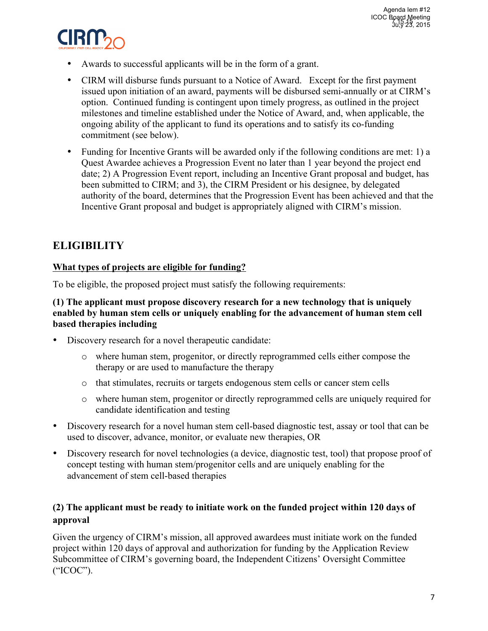

- Awards to successful applicants will be in the form of a grant.
- CIRM will disburse funds pursuant to a Notice of Award. Except for the first payment issued upon initiation of an award, payments will be disbursed semi-annually or at CIRM's option. Continued funding is contingent upon timely progress, as outlined in the project milestones and timeline established under the Notice of Award, and, when applicable, the ongoing ability of the applicant to fund its operations and to satisfy its co-funding commitment (see below).
- Funding for Incentive Grants will be awarded only if the following conditions are met: 1) a Quest Awardee achieves a Progression Event no later than 1 year beyond the project end date; 2) A Progression Event report, including an Incentive Grant proposal and budget, has been submitted to CIRM; and 3), the CIRM President or his designee, by delegated authority of the board, determines that the Progression Event has been achieved and that the Incentive Grant proposal and budget is appropriately aligned with CIRM's mission.

# **ELIGIBILITY**

### **What types of projects are eligible for funding?**

To be eligible, the proposed project must satisfy the following requirements:

### **(1) The applicant must propose discovery research for a new technology that is uniquely enabled by human stem cells or uniquely enabling for the advancement of human stem cell based therapies including**

- Discovery research for a novel therapeutic candidate:
	- o where human stem, progenitor, or directly reprogrammed cells either compose the therapy or are used to manufacture the therapy
	- o that stimulates, recruits or targets endogenous stem cells or cancer stem cells
	- o where human stem, progenitor or directly reprogrammed cells are uniquely required for candidate identification and testing
- Discovery research for a novel human stem cell-based diagnostic test, assay or tool that can be used to discover, advance, monitor, or evaluate new therapies, OR
- Discovery research for novel technologies (a device, diagnostic test, tool) that propose proof of concept testing with human stem/progenitor cells and are uniquely enabling for the advancement of stem cell-based therapies

### **(2) The applicant must be ready to initiate work on the funded project within 120 days of approval**

Given the urgency of CIRM's mission, all approved awardees must initiate work on the funded project within 120 days of approval and authorization for funding by the Application Review Subcommittee of CIRM's governing board, the Independent Citizens' Oversight Committee ("ICOC").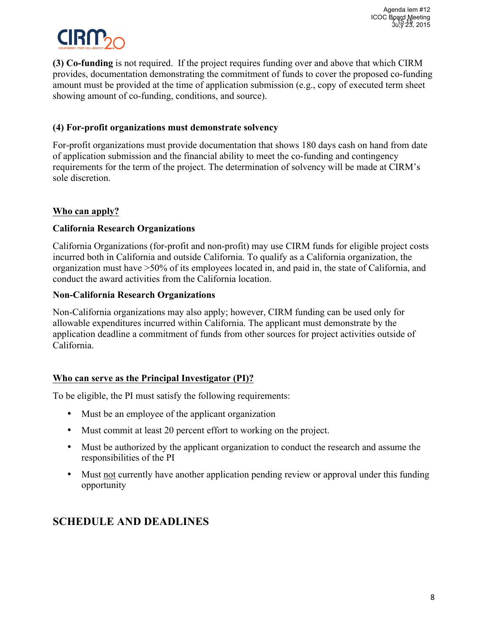

**(3) Co-funding** is not required. If the project requires funding over and above that which CIRM provides, documentation demonstrating the commitment of funds to cover the proposed co-funding amount must be provided at the time of application submission (e.g., copy of executed term sheet showing amount of co-funding, conditions, and source).

### **(4) For-profit organizations must demonstrate solvency**

For-profit organizations must provide documentation that shows 180 days cash on hand from date of application submission and the financial ability to meet the co-funding and contingency requirements for the term of the project. The determination of solvency will be made at CIRM's sole discretion.

### **Who can apply?**

### **California Research Organizations**

California Organizations (for-profit and non-profit) may use CIRM funds for eligible project costs incurred both in California and outside California. To qualify as a California organization, the organization must have >50% of its employees located in, and paid in, the state of California, and conduct the award activities from the California location.

#### **Non-California Research Organizations**

Non-California organizations may also apply; however, CIRM funding can be used only for allowable expenditures incurred within California. The applicant must demonstrate by the application deadline a commitment of funds from other sources for project activities outside of California.

#### **Who can serve as the Principal Investigator (PI)?**

To be eligible, the PI must satisfy the following requirements:

- Must be an employee of the applicant organization
- Must commit at least 20 percent effort to working on the project.
- Must be authorized by the applicant organization to conduct the research and assume the responsibilities of the PI
- Must not currently have another application pending review or approval under this funding opportunity

## **SCHEDULE AND DEADLINES**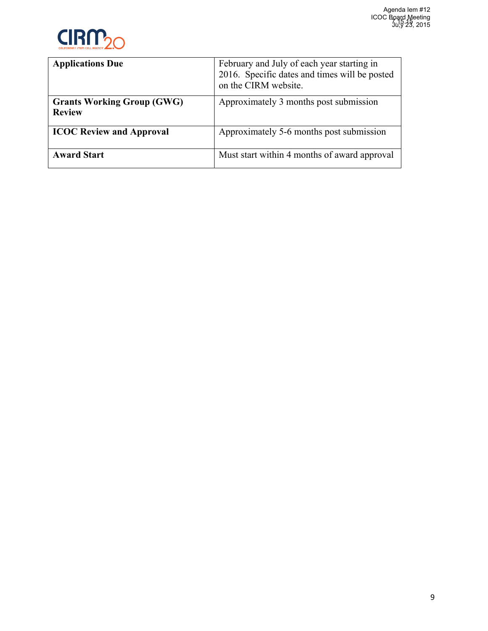

| <b>Applications Due</b>                            | February and July of each year starting in<br>2016. Specific dates and times will be posted<br>on the CIRM website. |
|----------------------------------------------------|---------------------------------------------------------------------------------------------------------------------|
| <b>Grants Working Group (GWG)</b><br><b>Review</b> | Approximately 3 months post submission                                                                              |
| <b>ICOC Review and Approval</b>                    | Approximately 5-6 months post submission                                                                            |
| <b>Award Start</b>                                 | Must start within 4 months of award approval                                                                        |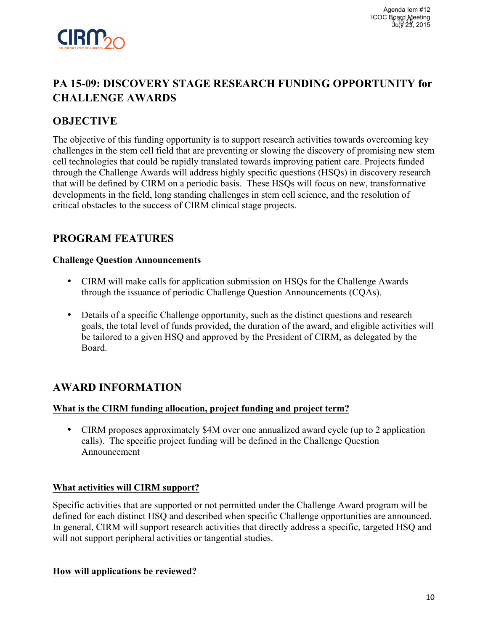

# **PA 15-09: DISCOVERY STAGE RESEARCH FUNDING OPPORTUNITY for CHALLENGE AWARDS**

## **OBJECTIVE**

The objective of this funding opportunity is to support research activities towards overcoming key challenges in the stem cell field that are preventing or slowing the discovery of promising new stem cell technologies that could be rapidly translated towards improving patient care. Projects funded through the Challenge Awards will address highly specific questions (HSQs) in discovery research that will be defined by CIRM on a periodic basis. These HSQs will focus on new, transformative developments in the field, long standing challenges in stem cell science, and the resolution of critical obstacles to the success of CIRM clinical stage projects.

# **PROGRAM FEATURES**

#### **Challenge Question Announcements**

- CIRM will make calls for application submission on HSQs for the Challenge Awards through the issuance of periodic Challenge Question Announcements (CQAs).
- Details of a specific Challenge opportunity, such as the distinct questions and research goals, the total level of funds provided, the duration of the award, and eligible activities will be tailored to a given HSQ and approved by the President of CIRM, as delegated by the Board.

## **AWARD INFORMATION**

### **What is the CIRM funding allocation, project funding and project term?**

• CIRM proposes approximately \$4M over one annualized award cycle (up to 2 application calls). The specific project funding will be defined in the Challenge Question Announcement

### **What activities will CIRM support?**

Specific activities that are supported or not permitted under the Challenge Award program will be defined for each distinct HSQ and described when specific Challenge opportunities are announced. In general, CIRM will support research activities that directly address a specific, targeted HSQ and will not support peripheral activities or tangential studies.

### **How will applications be reviewed?**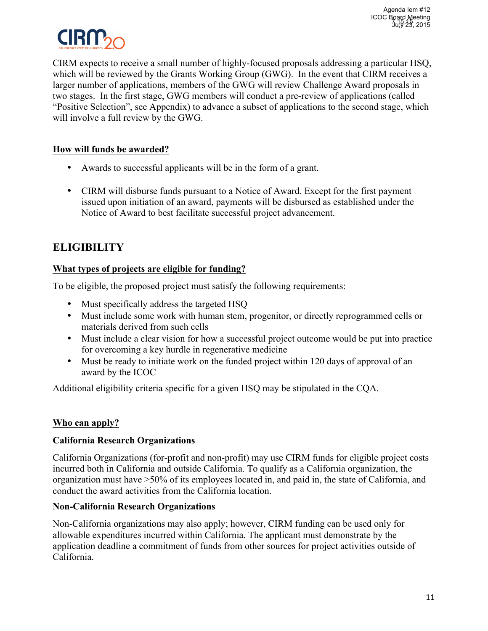

CIRM expects to receive a small number of highly-focused proposals addressing a particular HSQ, which will be reviewed by the Grants Working Group (GWG). In the event that CIRM receives a larger number of applications, members of the GWG will review Challenge Award proposals in two stages. In the first stage, GWG members will conduct a pre-review of applications (called "Positive Selection", see Appendix) to advance a subset of applications to the second stage, which will involve a full review by the GWG.

### **How will funds be awarded?**

- Awards to successful applicants will be in the form of a grant.
- CIRM will disburse funds pursuant to a Notice of Award. Except for the first payment issued upon initiation of an award, payments will be disbursed as established under the Notice of Award to best facilitate successful project advancement.

# **ELIGIBILITY**

### **What types of projects are eligible for funding?**

To be eligible, the proposed project must satisfy the following requirements:

- Must specifically address the targeted HSQ
- Must include some work with human stem, progenitor, or directly reprogrammed cells or materials derived from such cells
- Must include a clear vision for how a successful project outcome would be put into practice for overcoming a key hurdle in regenerative medicine
- Must be ready to initiate work on the funded project within 120 days of approval of an award by the ICOC

Additional eligibility criteria specific for a given HSQ may be stipulated in the CQA.

### **Who can apply?**

### **California Research Organizations**

California Organizations (for-profit and non-profit) may use CIRM funds for eligible project costs incurred both in California and outside California. To qualify as a California organization, the organization must have >50% of its employees located in, and paid in, the state of California, and conduct the award activities from the California location.

### **Non-California Research Organizations**

Non-California organizations may also apply; however, CIRM funding can be used only for allowable expenditures incurred within California. The applicant must demonstrate by the application deadline a commitment of funds from other sources for project activities outside of California.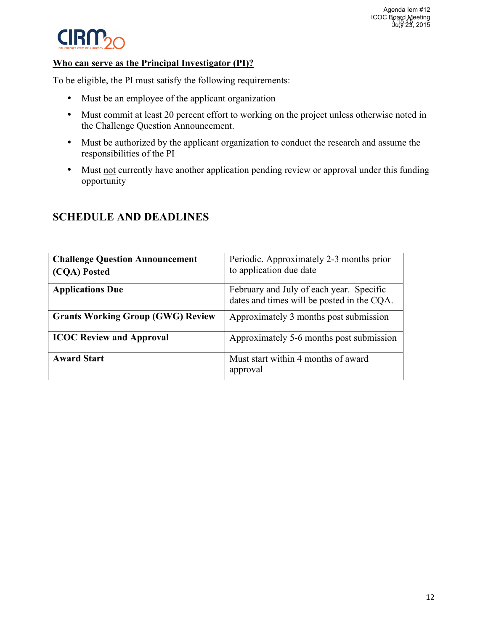

#### **Who can serve as the Principal Investigator (PI)?**

To be eligible, the PI must satisfy the following requirements:

- Must be an employee of the applicant organization
- Must commit at least 20 percent effort to working on the project unless otherwise noted in the Challenge Question Announcement.
- Must be authorized by the applicant organization to conduct the research and assume the responsibilities of the PI
- Must not currently have another application pending review or approval under this funding opportunity

| <b>Challenge Question Announcement</b><br>(CQA) Posted | Periodic. Approximately 2-3 months prior<br>to application due date                    |
|--------------------------------------------------------|----------------------------------------------------------------------------------------|
| <b>Applications Due</b>                                | February and July of each year. Specific<br>dates and times will be posted in the CQA. |
| <b>Grants Working Group (GWG) Review</b>               | Approximately 3 months post submission                                                 |
| <b>ICOC Review and Approval</b>                        | Approximately 5-6 months post submission                                               |
| <b>Award Start</b>                                     | Must start within 4 months of award<br>approval                                        |

### **SCHEDULE AND DEADLINES**